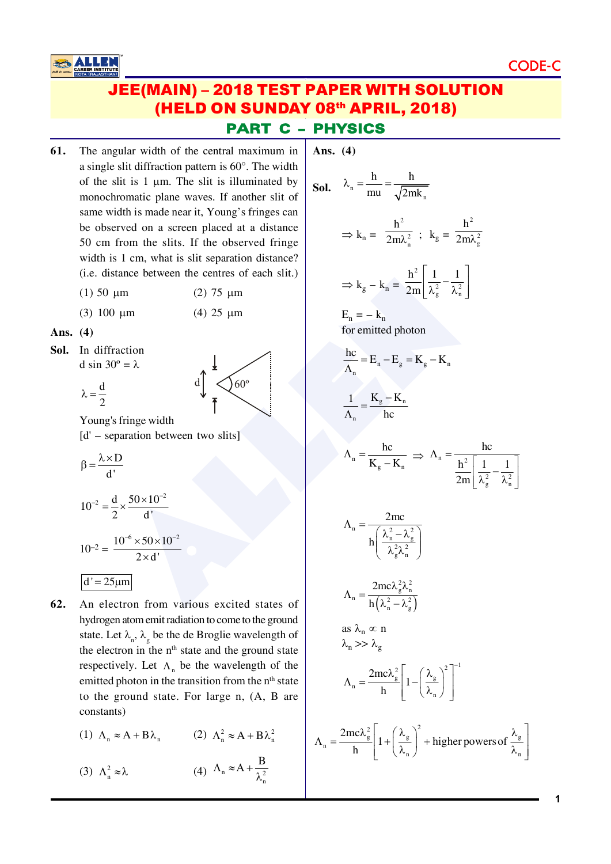**CODE** 

# **JEE(MAIN) - 2018 TEST PAPER WITH SOLUTION** (HELD ON SUNDAY 08th APRIL, 2018) **PART C - PHYSICS**

- 61. The angular width of the central maximum in a single slit diffraction pattern is  $60^\circ$ . The width of the slit is  $1 \mu m$ . The slit is illuminated by monochromatic plane waves. If another slit of same width is made near it, Young's fringes can be observed on a screen placed at a distance 50 cm from the slits. If the observed fringe width is 1 cm, what is slit separation distance? (i.e. distance between the centres of each slit.)
	- $(1)$  50  $\mu$ m  $(2)$  75  $\mu$ m
	- $(3)$  100  $\mu$ m (4) 25  $\mu$ m

Ans.  $(4)$ 

Sol. In diffraction d sin  $30^\circ = \lambda$ 

**ALLEI** 

$$
\lambda = \frac{d}{2}
$$



Young's fringe width  $[d' - separation between two slits]$ 

$$
\beta = \frac{\lambda \times D}{d'}
$$

$$
10^{-2} = \frac{d}{2} \times \frac{50 \times 10^{-2}}{d!}
$$

$$
10^{-2} = \frac{10^{-6} \times 50 \times 10^{-2}}{2 \times d!}
$$

$$
d' = 25 \mu m
$$

62. An electron from various excited states of hydrogen atom emit radiation to come to the ground state. Let  $\lambda_{n}$ ,  $\lambda_{n}$  be the de Broglie wavelength of the electron in the n<sup>th</sup> state and the ground state respectively. Let  $\Lambda_n$  be the wavelength of the emitted photon in the transition from the n<sup>th</sup> state to the ground state. For large n, (A, B are constants)

(1)  $\Lambda_n \approx A + B\lambda_n$  (2)  $\Lambda_n^2 \approx A + B\lambda_n^2$ 

(4)  $\Lambda_n \approx A + \frac{B}{\lambda^2}$ (3)  $\Lambda_n^2 \approx \lambda$ 

Ans.  $(4)$ 

**Sol.** 
$$
\lambda_n = \frac{h}{mu} = \frac{h}{\sqrt{2mk_n}}
$$
  
\n $\Rightarrow k_n = \frac{h^2}{2m\lambda_n^2}$ ;  $k_g = \frac{h^2}{2m\lambda_g^2}$   
\n $\Rightarrow k_g - k_n = \frac{h^2}{2m} \left[ \frac{1}{\lambda_g^2} - \frac{1}{\lambda_n^2} \right]$   
\n $E_n = -k_n$   
\nfor emitted photon  
\n $\frac{hc}{\Lambda_n} = E_n - E_g = K_g - K_n$   
\n $\frac{1}{\Lambda_n} = \frac{K_g - K_n}{hc}$   
\n $\Lambda_n = \frac{hc}{K_g - K_n} \Rightarrow \Lambda_n = \frac{hc}{\frac{h^2}{2m} \left[ \frac{1}{\lambda_g^2} - \frac{1}{\lambda_n^2} \right]}$   
\n $\Lambda_n = \frac{2mc}{h} \left( \frac{\lambda_n^2 - \lambda_g^2}{\lambda_g^2 \lambda_n^2} \right)}$   
\n $\Lambda_n = \frac{2mc\lambda_g^2 \lambda_n^2}{h \left( \lambda_n^2 - \lambda_g^2 \right)}$   
\nas  $\lambda_n \propto n$   
\n $\lambda_n \gg \lambda_g$   
\n $\Lambda_n = \frac{2mc\lambda_g^2}{h} \left[ 1 - \left( \frac{\lambda_g}{\lambda_n} \right)^2 \right]^{-1}$   
\n $\Lambda_n = \frac{2mc\lambda_g^2}{h} \left[ 1 - \left( \frac{\lambda_g}{\lambda_n} \right)^2 \right]^{-1}$   
\n $\Lambda_n = \frac{2mc\lambda_g^2}{h} \left[ 1 + \left( \frac{\lambda_g}{\lambda_n} \right)^2 + higher powers of \frac{\lambda_g}{\lambda_n} \right]$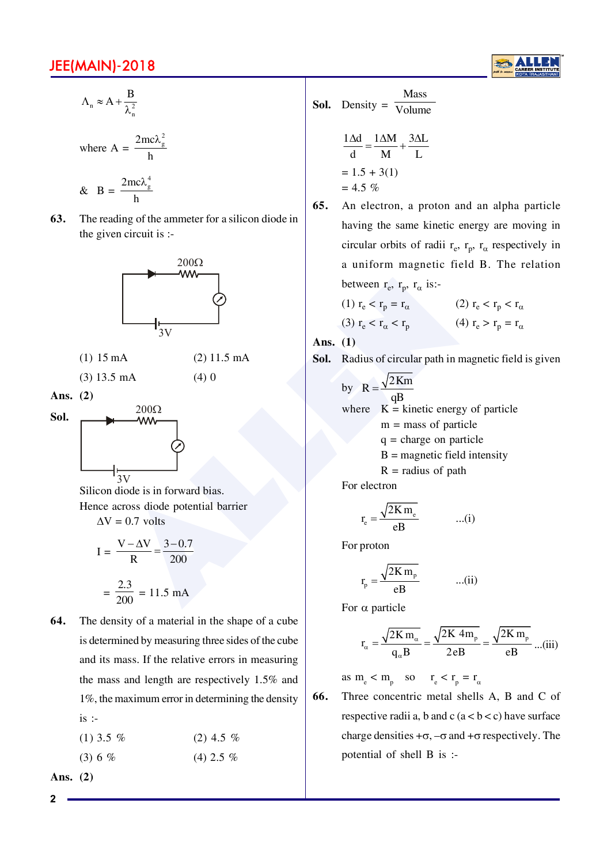

$$
\Lambda_{n} \approx A + \frac{B}{\lambda_{n}^{2}}
$$

where 
$$
A = \frac{2mc\lambda_g^2}{h}
$$

 $&\mathbf{B}$  =  $\frac{2mc\lambda_{g}^{4}}{h}$ **63.** The reading of the ammeter for a silicon diode in the given circuit is  $:$ 



- $(1)$  15 mA  $(2)$  11.5 mA
- $(3)$  13.5 mA  $(4)$  0
- **Ans. (2)**



Silicon diode is in forward bias. Hence across diode potential barrier  $\Delta V = 0.7$  volts

$$
I = \frac{V - \Delta V}{R} = \frac{3 - 0.7}{200}
$$

$$
= \frac{2.3}{200} = 11.5 \text{ mA}
$$

**64.** The density of a material in the shape of a cube is determined by measuring three sides of the cube and its mass. If the relative errors in measuring the mass and length are respectively  $1.5\%$  and  $1\%$ , the maximum error in determining the density is  $\therefore$ 

| $(1)$ 3.5 % | $(2)$ 4.5 % |
|-------------|-------------|
| $(3) 6 \%$  | $(4)$ 2.5 % |

**Ans. (2)**

**2**

**Sol.** Density = 
$$
\frac{\text{Mass}}{\text{Volume}}
$$
  

$$
\frac{1\Delta d}{d} = \frac{1\Delta M}{M} + \frac{3\Delta L}{L}
$$

$$
= 1.5 + 3(1)
$$

$$
= 4.5 \%
$$

**65.** An electron, a proton and an alpha particle having the same kinetic energy are moving in circular orbits of radii  $r_e$ ,  $r_p$ ,  $r_\alpha$  respectively in a uniform magnetic field B. The relation between  $r_e$ ,  $r_p$ ,  $r_\alpha$  is:-

(1) 
$$
r_e < r_p = r_\alpha
$$
\n(2)  $r_e < r_p < r_\alpha$ \n(3)  $r_e < r_\alpha < r_p$ \n(4)  $r_e > r_p = r_\alpha$ 

**Ans. (1)**

**Sol.** Radius of circular path in magnetic field is given

between r<sub>e</sub>, r<sub>p</sub>, r<sub>α</sub> is:

\n

| between r <sub>e</sub> , r <sub>p</sub> , r <sub>α</sub> is: |                                                                                                                                                                                                                                                                                                                                                                                                                                                                                                                                                                                                                                                                                                                                                                                                                                                                                                                                                                                                                                                                                |
|--------------------------------------------------------------|--------------------------------------------------------------------------------------------------------------------------------------------------------------------------------------------------------------------------------------------------------------------------------------------------------------------------------------------------------------------------------------------------------------------------------------------------------------------------------------------------------------------------------------------------------------------------------------------------------------------------------------------------------------------------------------------------------------------------------------------------------------------------------------------------------------------------------------------------------------------------------------------------------------------------------------------------------------------------------------------------------------------------------------------------------------------------------|
| between r <sub>e</sub> , r <sub>p</sub> , r <sub>α</sub> is: |                                                                                                                                                                                                                                                                                                                                                                                                                                                                                                                                                                                                                                                                                                                                                                                                                                                                                                                                                                                                                                                                                |
| the $(1)$ r <sub>e</sub> < r <sub>p</sub> = r <sub>α</sub>   | 200 r <sub>e</sub> < r <sub>p</sub> < r <sub>p</sub> < r <sub>p</sub> < r <sub>q</sub> < r <sub>p</sub> < r <sub>p</sub> < r <sub>p</sub> < r <sub>p</sub> < r <sub>p</sub> < r <sub>p</sub> < r <sub>p</sub> < r <sub>p</sub> < r <sub>p</sub> < r <sub>p</sub> < r <sub>p</sub> < r <sub>p</sub> < r <sub>p</sub> < r <sub>p</sub> < r <sub>p</sub> < r <sub>p</sub> < r <sub>p</sub> < r <sub>p</sub> < r <sub>p</sub> < r <sub>p</sub> < r <sub>p</sub> < r <sub>p</sub> < r <sub>p</sub> < r <sub>p</sub> < r <sub>p</sub> < r <sub>p</sub> < r <sub>p</sub> < r <sub>p</sub> < r <sub>p</sub> < r <sub>p</sub> < r <sub>p</sub> < r <sub>p</sub> < r <sub>p</sub> < r <sub>p</sub> < r <sub>p</sub> < r <sub>p</sub> < r <sub>p</sub> < r <sub>p</sub> < r <sub>p</sub> < r <sub>p</sub> < r <sub>p</sub> < r <sub>p</sub> < r <sub>p</sub> < r <sub>p</sub> < r <sub>p</sub> < r <sub>p</sub> < r <sub>p</sub> < r <sub>p</sub> < r <sub>p</sub> < r <sub>p</sub> < r <sub>p</sub> < r <sub>p</sub> < r <sub>p</sub> < r <sub>p</sub> < r <sub>p</sub> < r <sub>p</sub> |

For electron

$$
r_e = \frac{\sqrt{2K m_e}}{eB} \qquad ...(i)
$$

For proton

 $r_{\rm p}$ 

$$
=\frac{\sqrt{2K m_p}}{eB} \qquad ...(ii)
$$

For  $\alpha$  particle

$$
r_{\alpha} = \frac{\sqrt{2K m_{\alpha}}}{q_{\alpha} B} = \frac{\sqrt{2K 4m_{p}}}{2eB} = \frac{\sqrt{2K m_{p}}}{eB} ...(iii)
$$

as  $m_e < m_p$  so  $r_e < r_p = r_\alpha$ 

**66.** Three concentric metal shells A, B and C of respective radii a, b and c  $(a < b < c)$  have surface charge densities  $+\sigma$ ,  $-\sigma$  and  $+\sigma$  respectively. The potential of shell  $\overline{B}$  is :-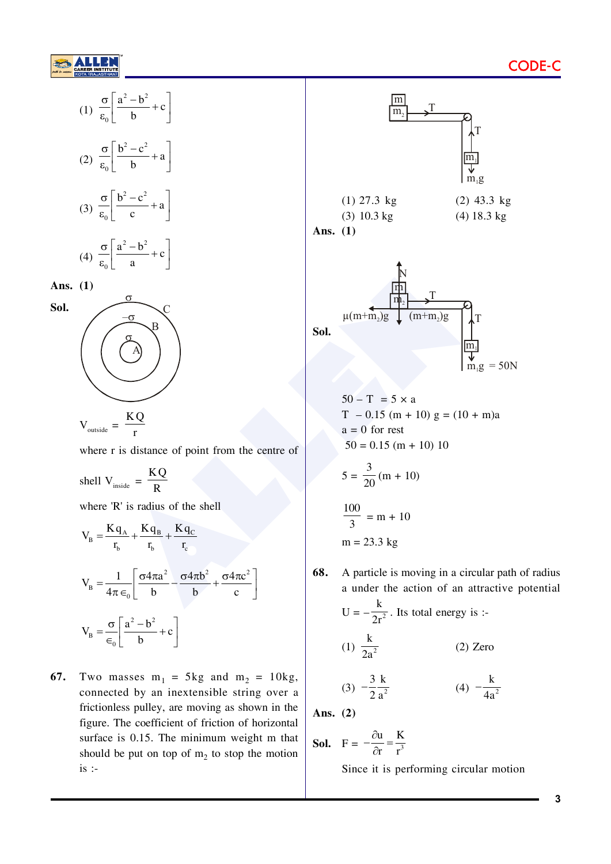

$$
(1) \frac{\sigma}{\epsilon_0} \left[ \frac{a^2 - b^2}{b} + c \right]
$$

$$
(2) \frac{\sigma}{\varepsilon_0} \left[ \frac{b^2 - c^2}{b} + a \right]
$$

$$
(3) \frac{\sigma}{\epsilon_0} \left[ \frac{b^2 - c^2}{c} + a \right]
$$

$$
(4) \frac{\sigma}{\varepsilon_0} \left[ \frac{a^2 - b^2}{a} + c \right]
$$

Ans.  $(1)$ 

Sol.



$$
V_{\text{outside}} = \frac{V}{r}
$$

where r is distance of point from the centre of

shell  $V_{inside} = \frac{KQ}{R}$ 

where 'R' is radius of the shell

$$
V_B = \frac{Kq_A}{r_b} + \frac{Kq_B}{r_b} + \frac{Kq_C}{r_c}
$$
  

$$
V_B = \frac{1}{4\pi\epsilon_0} \left[ \frac{\sigma 4\pi a^2}{b} - \frac{\sigma 4\pi b^2}{b} + \frac{\sigma 4\pi c^2}{c} \right]
$$
  

$$
V_B = \frac{\sigma}{\epsilon_0} \left[ \frac{a^2 - b^2}{b} + c \right]
$$

67. Two masses  $m_1 = 5kg$  and  $m_2 = 10kg$ , connected by an inextensible string over a frictionless pulley, are moving as shown in the figure. The coefficient of friction of horizontal surface is 0.15. The minimum weight m that should be put on top of  $m_2$  to stop the motion  $is$ :



$$
50 - T = 5 \times a
$$
  
\n
$$
T - 0.15 \text{ (m + 10)} g = (10 + m)a
$$
  
\n
$$
a = 0 \text{ for rest}
$$
  
\n
$$
50 = 0.15 \text{ (m + 10)} 10
$$
  
\n
$$
5 = \frac{3}{20} \text{ (m + 10)}
$$
  
\n
$$
\frac{100}{3} = m + 10
$$
  
\n
$$
m = 23.3 \text{ kg}
$$

68. A particle is moving in a circular path of radius a under the action of an attractive potential U =  $-\frac{k}{2r^2}$ . Its total energy is :-

$$
(1) \frac{k}{2a^2}
$$
 (2) Zero

$$
(3) \ -\frac{3}{2} \frac{k}{a^2} \qquad \qquad (4) \ -\frac{k}{4a^2}
$$

Ans.  $(2)$ 

**Sol.** 
$$
F = -\frac{\partial u}{\partial r} = \frac{K}{r^3}
$$

Since it is performing circular motion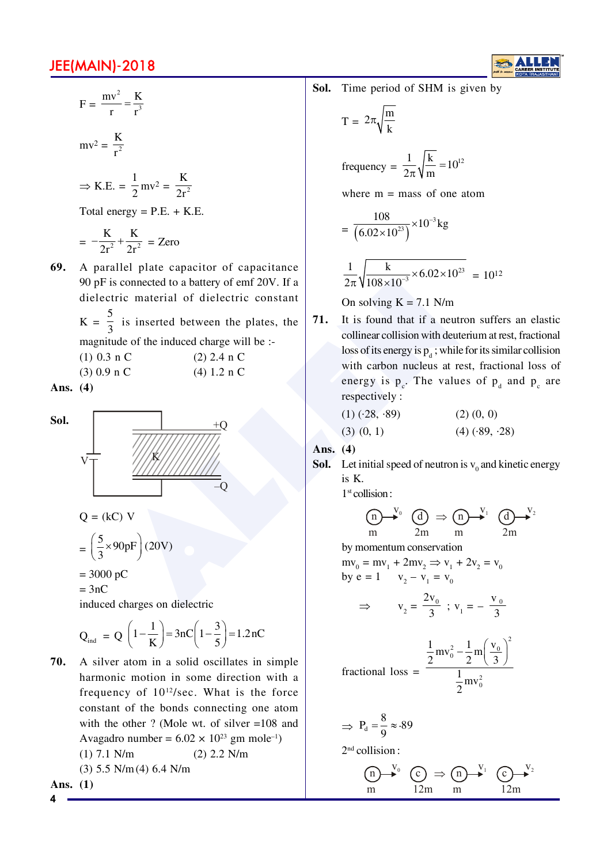

$$
F = \frac{mv^2}{r} = \frac{K}{r^3}
$$

$$
mv^2 = \frac{K}{r^2}
$$

$$
\Rightarrow K.E. = \frac{1}{2}mv^2 = \frac{K}{2r^2}
$$

Total energy =  $P.E. + K.E.$ 

$$
= -\frac{K}{2r^2} + \frac{K}{2r^2} = \text{Zero}
$$

69. A parallel plate capacitor of capacitance 90 pF is connected to a battery of emf 20V. If a dielectric material of dielectric constant  $K = \frac{5}{3}$  is inserted between the plates, the magnitude of the induced charge will be :-

| $(1)$ 0.3 n C | $(2)$ 2.4 n C |
|---------------|---------------|
| $(3)$ 0.9 n C | (4) 1.2 n C   |
|               |               |

Ans.  $(4)$ 



 $=3nC$ 

induced charges on dielectric

$$
Q_{ind} = Q \left( 1 - \frac{1}{K} \right) = 3nC \left( 1 - \frac{3}{5} \right) = 1.2 nC
$$

70. A silver atom in a solid oscillates in simple harmonic motion in some direction with a frequency of  $10^{12}/sec$ . What is the force constant of the bonds connecting one atom with the other ? (Mole wt. of silver  $=108$  and Avagadro number =  $6.02 \times 10^{23}$  gm mole<sup>-1</sup>)  $(1)$  7.1 N/m  $(2)$  2.2 N/m  $(3)$  5.5 N/m $(4)$  6.4 N/m  $\overline{1}$ 

Ans. 
$$
(1)
$$

Sol. Time period of SHM is given by

$$
T = 2\pi \sqrt{\frac{m}{k}}
$$
  
frequency =  $\frac{1}{2\pi} \sqrt{\frac{k}{m}} = 10^{12}$   
where m = mass of one atom

$$
= \frac{108}{(6.02 \times 10^{23})} \times 10^{-3} \text{kg}
$$

$$
\frac{1}{2\pi}\sqrt{\frac{k}{108\times10^{-3}}\times6.02\times10^{23}} = 10^{12}
$$

On solving  $K = 7.1$  N/m

71. It is found that if a neutron suffers an elastic collinear collision with deuterium at rest, fractional loss of its energy is  $p_d$ ; while for its similar collision with carbon nucleus at rest, fractional loss of energy is  $p_c$ . The values of  $p_d$  and  $p_c$  are respectively :

$$
(1) (-28, -89) \qquad (2) (0, 0)
$$
  

$$
(3) (0, 1) \qquad (4) (-89, -28)
$$

Ans.  $(4)$ 

**Sol.** Let initial speed of neutron is  $v_0$  and kinetic energy is K.

 $1<sup>st</sup>$  collision :

$$
\underset{m}{\underbrace{(n)}\xrightarrow{V_0}}\underset{2m}{\underbrace{(d)}}\Rightarrow\underset{m}{\underbrace{(n)}\xrightarrow{V_1}}\underset{2m}{\underbrace{(d)}\xrightarrow{V_2}}
$$

by momentum conservation

 $mv_0 = mv_1 + 2mv_2 \Rightarrow v_1 + 2v_2 = v_0$ <br>by  $e = 1$   $v_2 - v_1 = v_0$ 

$$
\Rightarrow \qquad v_2 = \frac{2v_0}{3} \; ; \; v_1 = -\frac{v_0}{3}
$$

$$
\text{fractional loss} = \frac{\frac{1}{2}mv_0^2 - \frac{1}{2}m\left(\frac{v_0}{3}\right)^2}{\frac{1}{2}mv_0^2}
$$

$$
\Rightarrow P_d = \frac{8}{9} \approx 89
$$

 $2<sup>nd</sup>$  collision :

$$
\begin{array}{ccc}\n\text{(n)} & \xrightarrow{V_0} & \text{(c)} \Rightarrow \text{(n)} & \xrightarrow{V_1} & \text{(c)} & \xrightarrow{V_2} \\
\text{m} & \text{12m} & \text{m} & \text{12m}\n\end{array}
$$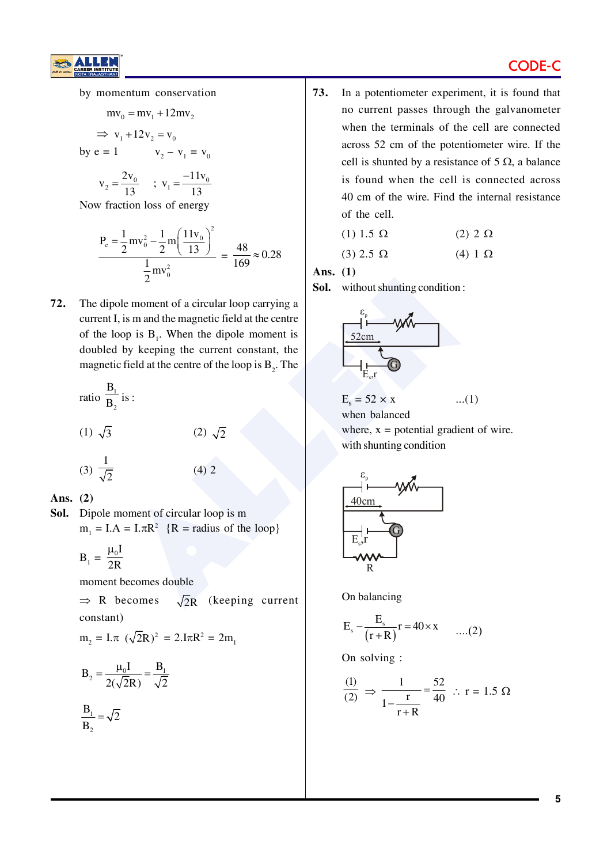## **CODE**

by momentum conservation

$$
mv_0 = mv_1 + 12mv_2
$$
  
\n
$$
\Rightarrow v_1 + 12v_2 = v_0
$$
  
\nby e = 1 \t\t\t $v_2 - v_1 = v_0$   
\n $v_2 = \frac{2v_0}{13}$  \t\t;  $v_1 = \frac{-11v_0}{13}$ 

Now fraction loss of energy

$$
\frac{P_c = \frac{1}{2}mv_0^2 - \frac{1}{2}m\left(\frac{11v_0}{13}\right)^2}{\frac{1}{2}mv_0^2} = \frac{48}{169} \approx 0.28
$$

72. The dipole moment of a circular loop carrying a current I, is m and the magnetic field at the centre of the loop is  $B_1$ . When the dipole moment is doubled by keeping the current constant, the magnetic field at the centre of the loop is B<sub>2</sub>. The

| ratio $\frac{B_1}{B_2}$ is : |                |
|------------------------------|----------------|
| $(1) \sqrt{3}$               | $(2) \sqrt{2}$ |
| (3) $\frac{1}{\sqrt{2}}$     | $(4)$ 2        |

Ans.  $(2)$ 

Sol. Dipole moment of circular loop is m  $m_1 = I.A = I.\pi R^2$  {R = radius of the loop}

$$
B_1 = \frac{\mu_0 I}{2R}
$$

moment becomes double

 $\Rightarrow$  R becomes  $\sqrt{2}R$  (keeping current constant)

$$
m_2 = I.\pi \ (\sqrt{2}R)^2 = 2.I\pi R^2 = 2m_1
$$

$$
B_2 = \frac{\mu_0 I}{2(\sqrt{2}R)} = \frac{B_1}{\sqrt{2}}
$$

$$
\frac{\mathbf{B}_1}{\mathbf{B}_2} = \sqrt{2}
$$

73. In a potentiometer experiment, it is found that no current passes through the galvanometer when the terminals of the cell are connected across 52 cm of the potentiometer wire. If the cell is shunted by a resistance of 5  $\Omega$ , a balance is found when the cell is connected across 40 cm of the wire. Find the internal resistance of the cell.

$$
(1) 1.5 \Omega \qquad (2) 2 \Omega
$$

$$
(3) 2.5 \Omega \qquad (4) 1 \Omega
$$

Ans. (1)

Sol. without shunting condition:



 $E_s = 52 \times x$ ... $(1)$ when balanced where,  $x =$  potential gradient of wire. with shunting condition



On balancing

$$
E_s - \frac{E_s}{(r+R)}r = 40 \times x \qquad \dots (2)
$$

On solving :

$$
\frac{(1)}{(2)} \Rightarrow \frac{1}{1 - \frac{r}{r + R}} = \frac{52}{40} \therefore r = 1.5 \text{ }\Omega
$$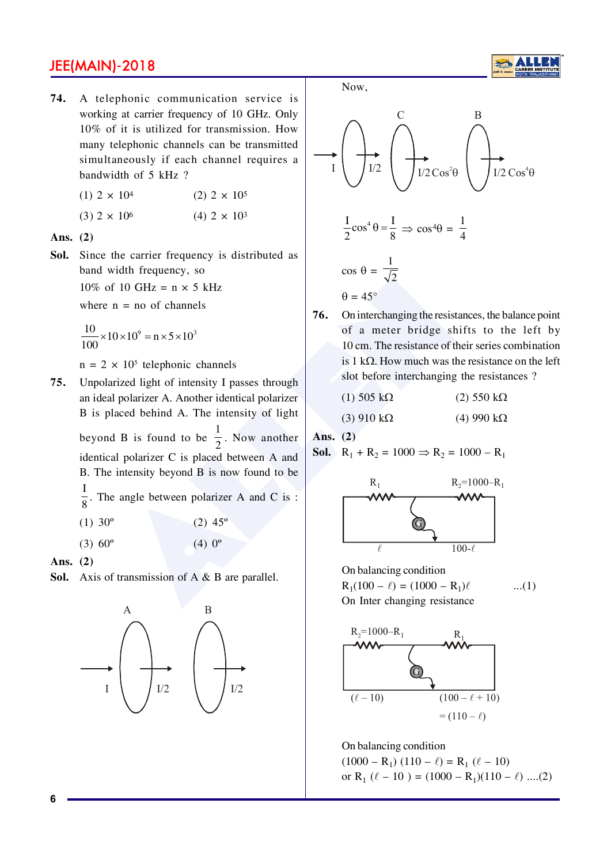74. A telephonic communication service is working at carrier frequency of 10 GHz. Only 10% of it is utilized for transmission. How many telephonic channels can be transmitted simultaneously if each channel requires a bandwidth of 5 kHz ?

(1) 
$$
2 \times 10^4
$$
  
(2)  $2 \times 10^5$   
(3)  $2 \times 10^6$   
(4)  $2 \times 10^3$ 

Ans.  $(2)$ 

Sol. Since the carrier frequency is distributed as band width frequency, so

> 10% of 10 GHz =  $n \times 5$  kHz where  $n = no$  of channels

$$
\frac{10}{100} \times 10 \times 10^{9} = n \times 5 \times 10^{3}
$$

 $n = 2 \times 10^5$  telephonic channels

- Unpolarized light of intensity I passes through 75. an ideal polarizer A. Another identical polarizer B is placed behind A. The intensity of light beyond B is found to be  $\frac{1}{2}$ . Now another identical polarizer C is placed between A and B. The intensity beyond B is now found to be  $\frac{1}{8}$ . The angle between polarizer A and C is :  $(1)$  30<sup>o</sup>  $(2)$  45<sup>o</sup>
	- $(3) 60^{\circ}$  $(4) 0^{\circ}$

Ans.  $(2)$ 

Sol. Axis of transmission of  $A \& B$  are parallel.



Now.



 $\theta = 45^{\circ}$ 76. On interchanging the resistances, the balance point of a meter bridge shifts to the left by 10 cm. The resistance of their series combination is  $1 k\Omega$ . How much was the resistance on the left

| $(1)$ 505 kO. | $(2)$ 550 kQ. |
|---------------|---------------|

slot before interchanging the resistances?

$$
(3) 910 k\Omega \qquad (4) 990 k\Omega
$$

Ans.  $(2)$ 

**Sol.**  $R_1 + R_2 = 1000 \Rightarrow R_2 = 1000 - R_1$ 



On balancing condition

 $R_1(100 - \ell) = (1000 - R_1)\ell$  $...(1)$ On Inter changing resistance



On balancing condition  $(1000 - R_1) (110 - \ell) = R_1 (\ell - 10)$ or R<sub>1</sub> ( $\ell$  – 10) = (1000 – R<sub>1</sub>)(110 –  $\ell$ ) ....(2)

6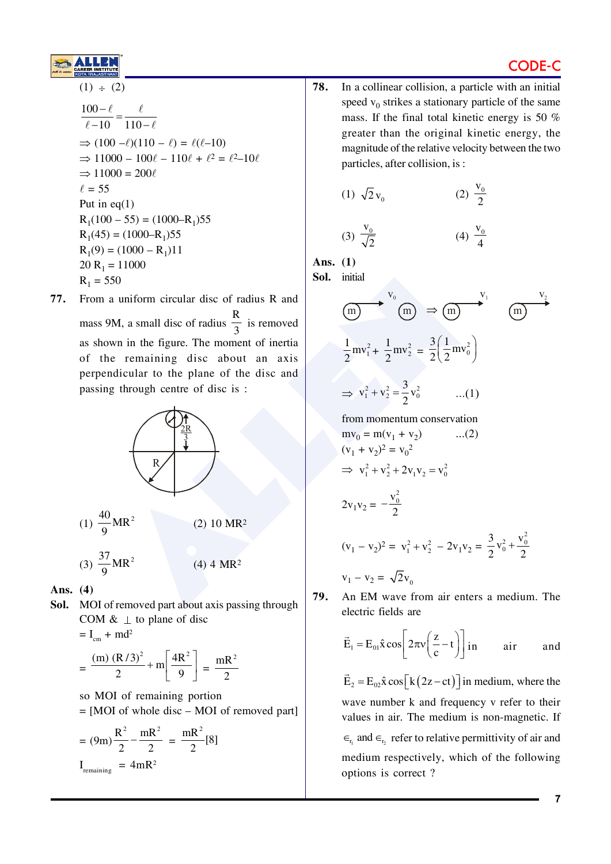

# CODE-

$$
\frac{100 - \ell}{\ell - 10} = \frac{\ell}{110 - \ell}
$$
\n⇒ (100 - \ell)(110 - \ell) = \ell(\ell - 10)  
\n⇒ 11000 - 100\ell - 110\ell + \ell^2 = \ell^2 - 10\ell  
\n⇒ 11000 = 200\ell  
\ell = 55  
\nPut in eq(1)  
\nR<sub>1</sub>(100 - 55) = (1000 - R<sub>1</sub>)55  
\nR<sub>1</sub>(45) = (1000 - R<sub>1</sub>)55  
\nR<sub>1</sub>(9) = (1000 - R<sub>1</sub>)11  
\n20 R<sub>1</sub> = 11000  
\nR<sub>1</sub> = 550

From a uniform circular disc of radius R and 77. mass 9M, a small disc of radius  $\frac{R}{3}$  is removed as shown in the figure. The moment of inertia of the remaining disc about an axis perpendicular to the plane of the disc and passing through centre of disc is:



- Ans.  $(4)$
- Sol. MOI of removed part about axis passing through COM  $\& \perp$  to plane of disc

$$
= I_{cm} + md^{2}
$$
  
=  $\frac{(m) (R/3)^{2}}{2} + m \left[ \frac{4R^{2}}{9} \right] = \frac{mR}{2}$ 

so MOI of remaining portion  $=$  [MOI of whole disc – MOI of removed part]

$$
= (9m)\frac{R^2}{2} - \frac{mR^2}{2} = \frac{mR^2}{2} [8]
$$
  
I<sub>remaining</sub> = 4mR<sup>2</sup>

78. In a collinear collision, a particle with an initial speed  $v_0$  strikes a stationary particle of the same mass. If the final total kinetic energy is 50 % greater than the original kinetic energy, the magnitude of the relative velocity between the two particles, after collision, is:

(1) 
$$
\sqrt{2}v_0
$$
 (2)  $\frac{v_0}{2}$ 

$$
(3) \frac{v_0}{\sqrt{2}} \tag{4} \frac{v_0}{4}
$$

Ans.  $(1)$ 

Sol. initial

(m)   
\n(m)   
\n
$$
\Rightarrow
$$
 (m)   
\n $\Rightarrow$  (m)   
\n $\frac{1}{2}$ mv<sub>1</sub><sup>2</sup> +   
\n $\frac{1}{2}$ mv<sub>2</sub><sup>2</sup> =   
\n $\frac{3}{2}$  (  
\n $\frac{1}{2}$ mv<sub>0</sub><sup>2</sup>)  
\n $\Rightarrow$  v<sub>1</sub><sup>2</sup> + v<sub>2</sub><sup>2</sup> =   
\n $\frac{3}{2}$ v<sub>0</sub><sup>2</sup> ....(1)

from momentum conservation  $mv_0 = m(v_1 + v_2)$  $...(2)$  $(v_1 + v_2)^2 = v_0^2$  $\Rightarrow$   $v_1^2 + v_2^2 + 2v_1v_2 = v_0^2$  $2v_1v_2 = -\frac{v_0^2}{2}$  $(v_1 - v_2)^2 = v_1^2 + v_2^2 - 2v_1v_2 = \frac{3}{2}v_0^2 + \frac{v_0^2}{2}$  $v_1 - v_2 = \sqrt{2}v_0$ 

79. An EM wave from air enters a medium. The electric fields are

$$
\vec{E}_1 = E_{01} \hat{x} \cos \left[ 2\pi v \left( \frac{z}{c} - t \right) \right] \text{ in} \quad \text{air} \quad \text{and}
$$

 $\vec{E}_2 = E_0 \hat{x} \cos[k(2z-ct)]$  in medium, where the wave number k and frequency y refer to their values in air. The medium is non-magnetic. If  $\epsilon_{r_i}$  and  $\epsilon_{r_2}$  refer to relative permittivity of air and medium respectively, which of the following options is correct?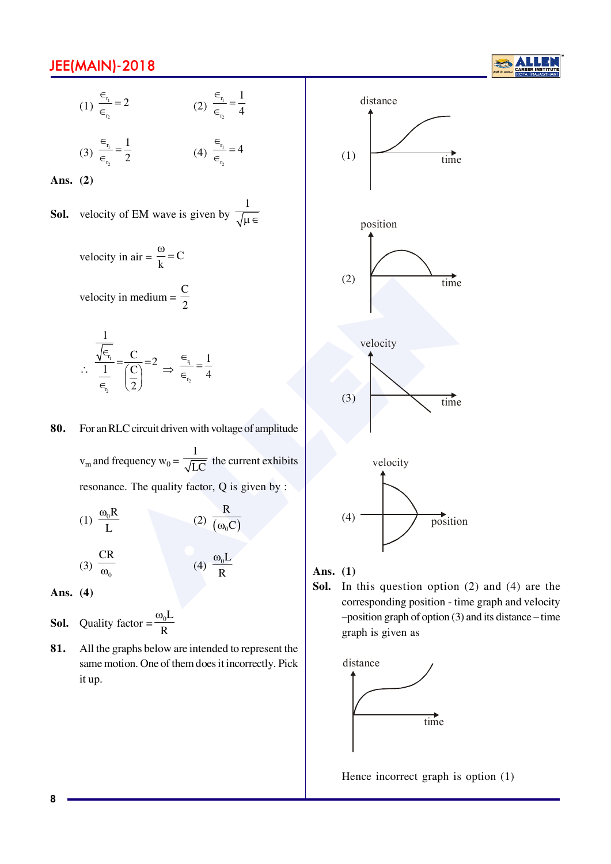

(1) 
$$
\frac{\epsilon_{r_1}}{\epsilon_{r_2}} = 2
$$
 (2)  $\frac{\epsilon_{r_1}}{\epsilon_{r_2}} = \frac{1}{4}$ 

(3) 
$$
\frac{\epsilon_{r_1}}{\epsilon_{r_2}} = \frac{1}{2}
$$
 (4)  $\frac{\epsilon_{r_1}}{\epsilon_{r_2}}$ 

 $\overline{4}$ 

Ans.  $(2)$ 

**Sol.** velocity of EM wave is given by  $\frac{1}{\sqrt{\mu \epsilon}}$ 

velocity in air =  $\frac{\omega}{k}$  = C

velocity in medium =  $\frac{C}{2}$ 

$$
\frac{\frac{1}{\sqrt{\epsilon_{\tau_i}}}}{\frac{1}{\epsilon_{\tau_2}}} = \frac{C}{\left(\frac{C}{2}\right)} = 2 \implies \frac{\epsilon_{\tau_1}}{\epsilon_{\tau_2}} = \frac{1}{4}
$$

For an RLC circuit driven with voltage of amplitude 80.

> $v_m$  and frequency  $w_0 = \frac{1}{\sqrt{LC}}$  the current exhibits resonance. The quality factor, Q is given by :

(1) 
$$
\frac{\omega_0 R}{L}
$$
  
(2)  $\frac{R}{(\omega_0 C)}$   
(3)  $\frac{CR}{\omega_0}$   
(4)  $\frac{\omega_0 L}{R}$ 

Ans.  $(4)$ 

- Quality factor =  $\frac{\omega_0 L}{R}$ Sol.
- 81. All the graphs below are intended to represent the same motion. One of them does it incorrectly. Pick it up.



#### Ans.  $(1)$

In this question option  $(2)$  and  $(4)$  are the Sol. corresponding position - time graph and velocity -position graph of option (3) and its distance - time graph is given as



Hence incorrect graph is option (1)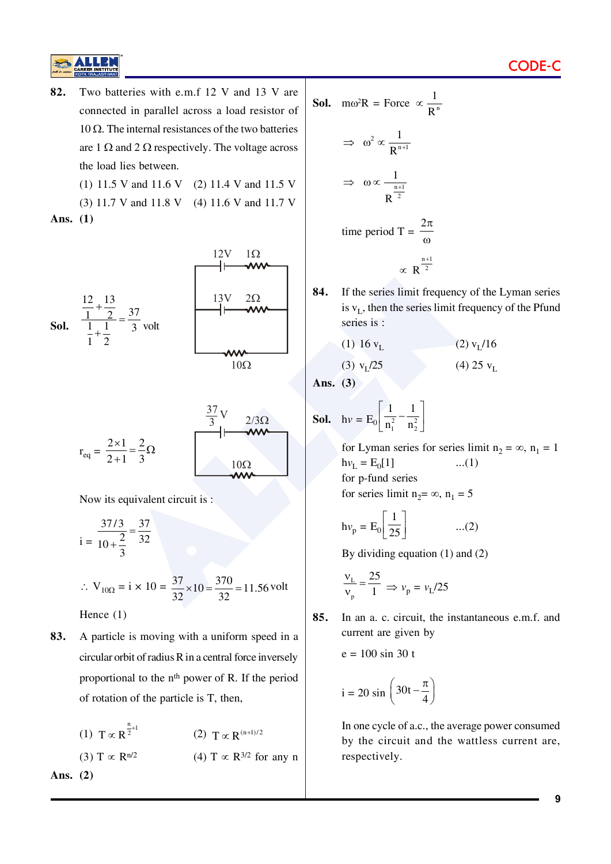82. Two batteries with e.m.f 12 V and 13 V are connected in parallel across a load resistor of 10 Ω. The internal resistances of the two batteries are 1  $\Omega$  and 2  $\Omega$  respectively. The voltage across the load lies between.

(1) 11.5 V and 11.6 V (2) 11.4 V and 11.5 V

(3) 11.7 V and 11.8 V (4) 11.6 V and 11.7 V Ans.  $(1)$ 



$$
r_{eq} = \frac{2 \times 1}{2 + 1} = \frac{2}{3} \Omega
$$

Now its equivalent circuit is :

$$
i = \frac{37/3}{10 + \frac{2}{3}} = \frac{37}{32}
$$
  
∴ V<sub>10Ω</sub> = i × 10 =  $\frac{37}{32} × 10 = \frac{370}{32} = 11.56$  volt  
Hence (1)

A particle is moving with a uniform speed in a 83. circular orbit of radius R in a central force inversely proportional to the n<sup>th</sup> power of R. If the period of rotation of the particle is T, then,

(1) 
$$
T \propto R^{\frac{n}{2}+1}
$$
  
\n(2)  $T \propto R^{(n+1)/2}$   
\n(3)  $T \propto R^{n/2}$   
\n(4)  $T \propto R^{3/2}$  for any n  
\n**Ans.** (2)

**Sol.** 
$$
m\omega^2 R = \text{Force } \alpha \frac{1}{R^n}
$$
  
\n $\Rightarrow \omega^2 \alpha \frac{1}{R^{n+1}}$   
\n $\Rightarrow \omega \alpha \frac{1}{R^{n+1}}$   
\n $\therefore \omega \alpha \frac{1}{R^{2n}}$   
\ntime period  $T = \frac{2\pi}{\omega}$   
\n $\propto R^{\frac{n+1}{2}}$ 

84. If the series limit frequency of the Lyman series is  $v_L$ , then the series limit frequency of the Pfund series is:

(1) 16 
$$
v_L
$$
 (2)  $v_L/16$ 

$$
(3) vL/25 \t\t(4) 25 vL
$$

Ans.  $(3)$ 

**Sol.** 
$$
hv = E_0 \left[ \frac{1}{n_1^2} - \frac{1}{n_2^2} \right]
$$

for Lyman series for series limit  $n_2 = \infty$ ,  $n_1 = 1$  $hv_{L} = E_{0}[1]$  $...(1)$ for p-fund series for series limit  $n_2 = \infty$ ,  $n_1 = 5$ 

$$
h\nu_p = E_0 \left[ \frac{1}{25} \right] \qquad \qquad ...(2)
$$

By dividing equation  $(1)$  and  $(2)$ 

$$
\frac{v_{\rm L}}{v_{\rm p}} = \frac{25}{1} \implies v_{\rm p} = v_{\rm L}/25
$$

85. In an a. c. circuit, the instantaneous e.m.f. and current are given by

 $e = 100 \sin 30 t$ 

$$
i = 20 \sin \left(30t - \frac{\pi}{4}\right)
$$

In one cycle of a.c., the average power consumed by the circuit and the wattless current are, respectively.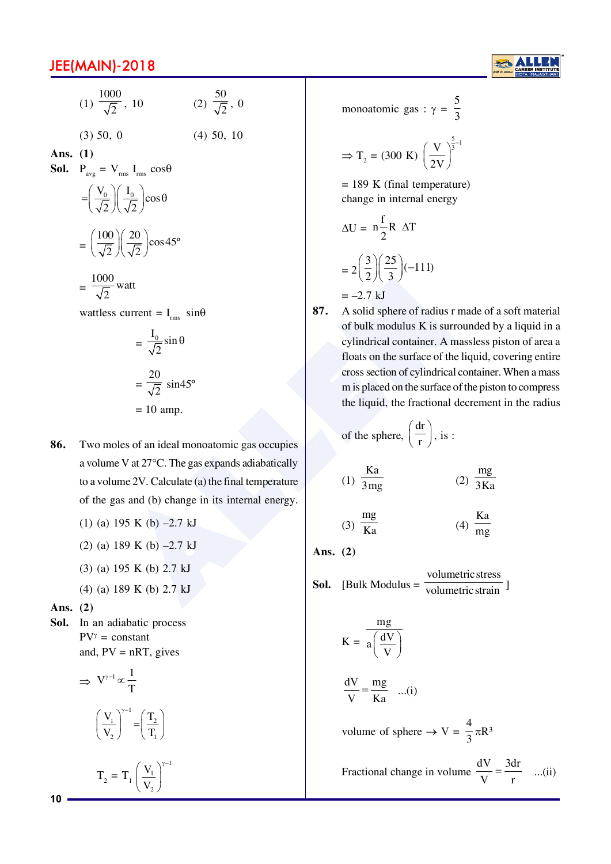

(1) 
$$
\frac{1000}{\sqrt{2}}
$$
, 10 (2)  $\frac{50}{\sqrt{2}}$ , 0  
(3) 50, 0 (4) 50, 10

Ans.  $(1)$ 

 $\mathbf{D}$ 

Sol.

$$
P_{avg} = V_{rms} I_{rms} \cos\theta
$$

$$
= \left(\frac{V_0}{\sqrt{2}}\right) \left(\frac{I_0}{\sqrt{2}}\right) \cos\theta
$$

$$
= \left(\frac{100}{\sqrt{2}}\right) \left(\frac{20}{\sqrt{2}}\right) \cos 45^\circ
$$

$$
= \frac{1000}{\sqrt{2}} \text{watt}
$$

wattless current =  $I_{rms}$  sin $\theta$ 

$$
= \frac{1_0}{\sqrt{2}} \sin \theta
$$

$$
= \frac{20}{\sqrt{2}} \sin 45^\circ
$$

$$
= 10 \text{ amp.}
$$

- 86. Two moles of an ideal monoatomic gas occupies a volume V at  $27^{\circ}$ C. The gas expands adiabatically to a volume 2V. Calculate (a) the final temperature of the gas and (b) change in its internal energy.
	- (1) (a) 195 K (b)  $-2.7$  kJ
	- (2) (a) 189 K (b)  $-2.7$  kJ
	- $(3)$  (a) 195 K (b) 2.7 kJ
	- (4) (a) 189 K (b) 2.7 kJ

Ans.  $(2)$ 

Sol. In an adiabatic process  $PV^{\gamma}$  = constant and,  $PV = nRT$ , gives

$$
\Rightarrow V^{\gamma-1} \propto \frac{1}{T}
$$

$$
\left(\frac{V_1}{V_2}\right)^{\gamma-1} = \left(\frac{T_2}{T_1}\right)
$$

$$
T_2 = T_1 \left(\frac{V_1}{V_2}\right)
$$

monoatomic gas :  $\gamma = \frac{5}{3}$ 

$$
\Rightarrow T_2 = (300 \text{ K}) \left(\frac{\text{V}}{2 \text{V}}\right)^{\frac{5}{3} - 1}
$$

 $= 189$  K (final temperature) change in internal energy

$$
\Delta U = n \frac{f}{2} R \Delta T
$$

$$
= 2 \left( \frac{3}{2} \right) \left( \frac{25}{3} \right) (-111)
$$

$$
= -2.7 \text{ kJ}
$$

87. A solid sphere of radius r made of a soft material of bulk modulus K is surrounded by a liquid in a cylindrical container. A massless piston of area a floats on the surface of the liquid, covering entire cross section of cylindrical container. When a mass m is placed on the surface of the piston to compress the liquid, the fractional decrement in the radius

of the sphere, 
$$
\left(\frac{dr}{r}\right)
$$
, is :

$$
(1) \frac{Ka}{3mg} \qquad (2) \frac{mg}{3Ka}
$$

$$
(3) \frac{mg}{Ka}
$$
 (4)  $\frac{Ka}{mg}$ 

Ans.  $(2)$ 

**Sol.** [Bulk Modulus = 
$$
\frac{\text{volumetric stress}}{\text{volumetric strain}}
$$
]

$$
K = \frac{mg}{a\left(\frac{dV}{V}\right)}
$$

$$
\frac{dV}{V} = \frac{mg}{Ka}
$$
 ...(i)

volume of sphere  $\rightarrow$  V =  $\frac{4}{3}\pi R^3$ 

Fractional change in volume 
$$
\frac{dV}{V} = \frac{3dr}{r}
$$
 ...(ii)

 $10<sup>1</sup>$